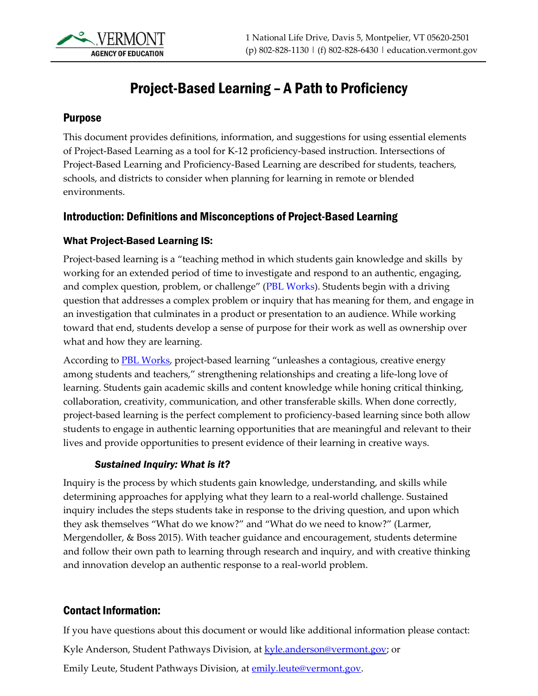

# Project-Based Learning – A Path to Proficiency

#### Purpose

This document provides definitions, information, and suggestions for using essential elements of Project-Based Learning as a tool for K-12 proficiency-based instruction. Intersections of Project-Based Learning and Proficiency-Based Learning are described for students, teachers, schools, and districts to consider when planning for learning in remote or blended environments.

### Introduction: Definitions and Misconceptions of Project-Based Learning

#### What Project-Based Learning IS:

Project-based learning is a "teaching method in which students gain knowledge and skills by working for an extended period of time to investigate and respond to an authentic, engaging, and complex question, problem, or challenge" ([PBL Works\)](http://www.pblworks.org/). Students begin with a driving question that addresses a complex problem or inquiry that has meaning for them, and engage in an investigation that culminates in a product or presentation to an audience. While working toward that end, students develop a sense of purpose for their work as well as ownership over what and how they are learning.

According to **PBL Works**, project-based learning "unleashes a contagious, creative energy among students and teachers," strengthening relationships and creating a life-long love of learning. Students gain academic skills and content knowledge while honing critical thinking, collaboration, creativity, communication, and other transferable skills. When done correctly, project-based learning is the perfect complement to proficiency-based learning since both allow students to engage in authentic learning opportunities that are meaningful and relevant to their lives and provide opportunities to present evidence of their learning in creative ways.

#### *Sustained Inquiry: What is it?*

Inquiry is the process by which students gain knowledge, understanding, and skills while determining approaches for applying what they learn to a real-world challenge. Sustained inquiry includes the steps students take in response to the driving question, and upon which they ask themselves "What do we know?" and "What do we need to know?" (Larmer, Mergendoller, & Boss 2015). With teacher guidance and encouragement, students determine and follow their own path to learning through research and inquiry, and with creative thinking and innovation develop an authentic response to a real-world problem.

### Contact Information:

If you have questions about this document or would like additional information please contact: Kyle Anderson, Student Pathways Division, at **kyle.anderson@vermont.gov**; or Emily Leute, Student Pathways Division, at [emily.leute@vermont.gov.](mailto:emily.leute@vermont.gov)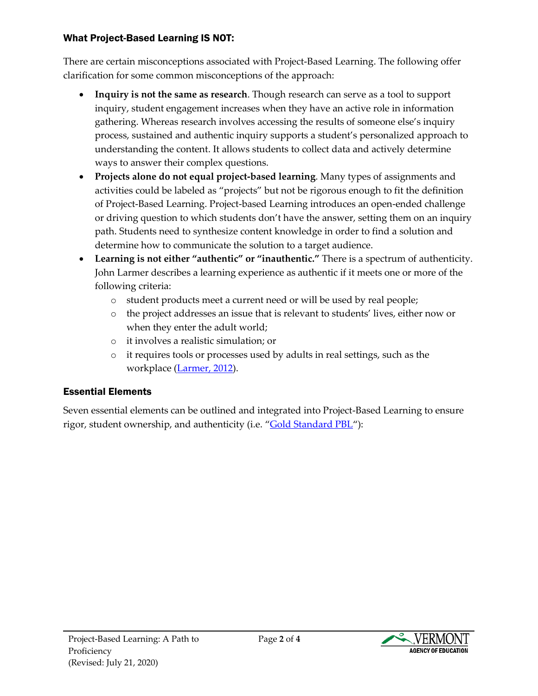## What Project-Based Learning IS NOT:

There are certain misconceptions associated with Project-Based Learning. The following offer clarification for some common misconceptions of the approach:

- **Inquiry is not the same as research**. Though research can serve as a tool to support inquiry, student engagement increases when they have an active role in information gathering. Whereas research involves accessing the results of someone else's inquiry process, sustained and authentic inquiry supports a student's personalized approach to understanding the content. It allows students to collect data and actively determine ways to answer their complex questions.
- **Projects alone do not equal project-based learning**. Many types of assignments and activities could be labeled as "projects" but not be rigorous enough to fit the definition of Project-Based Learning. Project-based Learning introduces an open-ended challenge or driving question to which students don't have the answer, setting them on an inquiry path. Students need to synthesize content knowledge in order to find a solution and determine how to communicate the solution to a target audience.
- **Learning is not either "authentic" or "inauthentic."** There is a spectrum of authenticity. John Larmer describes a learning experience as authentic if it meets one or more of the following criteria:
	- o student products meet a current need or will be used by real people;
	- o the project addresses an issue that is relevant to students' lives, either now or when they enter the adult world;
	- o it involves a realistic simulation; or
	- o it requires tools or processes used by adults in real settings, such as the workplace [\(Larmer, 2012\)](https://www.edutopia.org/blog/authentic-project-based-learning-john-larmer).

# Essential Elements

Seven essential elements can be outlined and integrated into Project-Based Learning to ensure rigor, student ownership, and authenticity (i.e. "[Gold Standard PBL](https://www.pblworks.org/what-is-pbl/gold-standard-project-design)"):



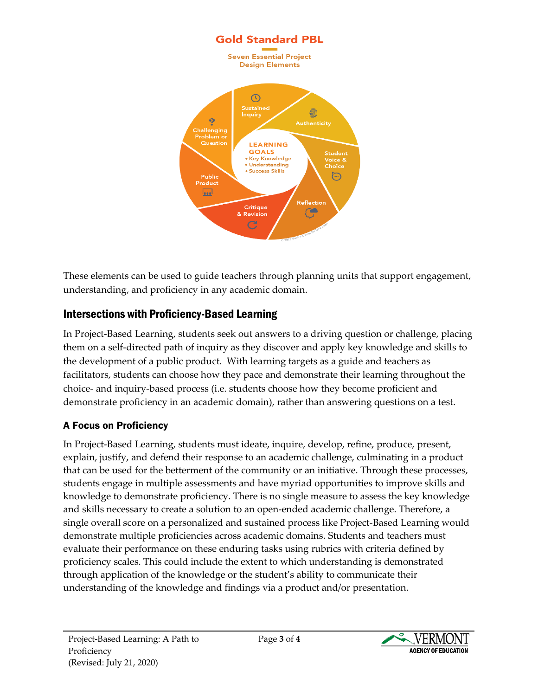

These elements can be used to guide teachers through planning units that support engagement, understanding, and proficiency in any academic domain.

## Intersections with Proficiency-Based Learning

In Project-Based Learning, students seek out answers to a driving question or challenge, placing them on a self-directed path of inquiry as they discover and apply key knowledge and skills to the development of a public product. With learning targets as a guide and teachers as facilitators, students can choose how they pace and demonstrate their learning throughout the choice- and inquiry-based process (i.e. students choose how they become proficient and demonstrate proficiency in an academic domain), rather than answering questions on a test.

## A Focus on Proficiency

In Project-Based Learning, students must ideate, inquire, develop, refine, produce, present, explain, justify, and defend their response to an academic challenge, culminating in a product that can be used for the betterment of the community or an initiative. Through these processes, students engage in multiple assessments and have myriad opportunities to improve skills and knowledge to demonstrate proficiency. There is no single measure to assess the key knowledge and skills necessary to create a solution to an open-ended academic challenge. Therefore, a single overall score on a personalized and sustained process like Project-Based Learning would demonstrate multiple proficiencies across academic domains. Students and teachers must evaluate their performance on these enduring tasks using rubrics with criteria defined by proficiency scales. This could include the extent to which understanding is demonstrated through application of the knowledge or the student's ability to communicate their understanding of the knowledge and findings via a product and/or presentation.